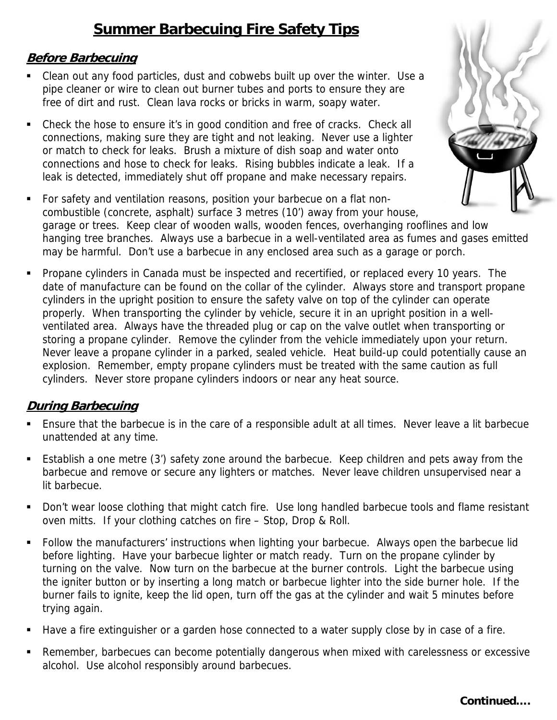# **Summer Barbecuing Fire Safety Tips**

#### **Before Barbecuing**

- Clean out any food particles, dust and cobwebs built up over the winter. Use a pipe cleaner or wire to clean out burner tubes and ports to ensure they are free of dirt and rust. Clean lava rocks or bricks in warm, soapy water.
- Check the hose to ensure it's in good condition and free of cracks. Check all connections, making sure they are tight and not leaking. Never use a lighter or match to check for leaks. Brush a mixture of dish soap and water onto connections and hose to check for leaks. Rising bubbles indicate a leak. If a leak is detected, immediately shut off propane and make necessary repairs.



 Propane cylinders in Canada must be inspected and recertified, or replaced every 10 years. The date of manufacture can be found on the collar of the cylinder. Always store and transport propane cylinders in the upright position to ensure the safety valve on top of the cylinder can operate properly. When transporting the cylinder by vehicle, secure it in an upright position in a wellventilated area. Always have the threaded plug or cap on the valve outlet when transporting or storing a propane cylinder. Remove the cylinder from the vehicle immediately upon your return. Never leave a propane cylinder in a parked, sealed vehicle. Heat build-up could potentially cause an explosion. Remember, empty propane cylinders must be treated with the same caution as full cylinders. Never store propane cylinders indoors or near any heat source.

## **During Barbecuing**

- Ensure that the barbecue is in the care of a responsible adult at all times. Never leave a lit barbecue unattended at any time.
- Establish a one metre (3') safety zone around the barbecue. Keep children and pets away from the barbecue and remove or secure any lighters or matches. Never leave children unsupervised near a lit barbecue.
- Don't wear loose clothing that might catch fire. Use long handled barbecue tools and flame resistant oven mitts. If your clothing catches on fire – Stop, Drop & Roll.
- Follow the manufacturers' instructions when lighting your barbecue. Always open the barbecue lid before lighting. Have your barbecue lighter or match ready. Turn on the propane cylinder by turning on the valve. Now turn on the barbecue at the burner controls. Light the barbecue using the igniter button or by inserting a long match or barbecue lighter into the side burner hole. If the burner fails to ignite, keep the lid open, turn off the gas at the cylinder and wait 5 minutes before trying again.
- Have a fire extinguisher or a garden hose connected to a water supply close by in case of a fire.
- Remember, barbecues can become potentially dangerous when mixed with carelessness or excessive alcohol. Use alcohol responsibly around barbecues.